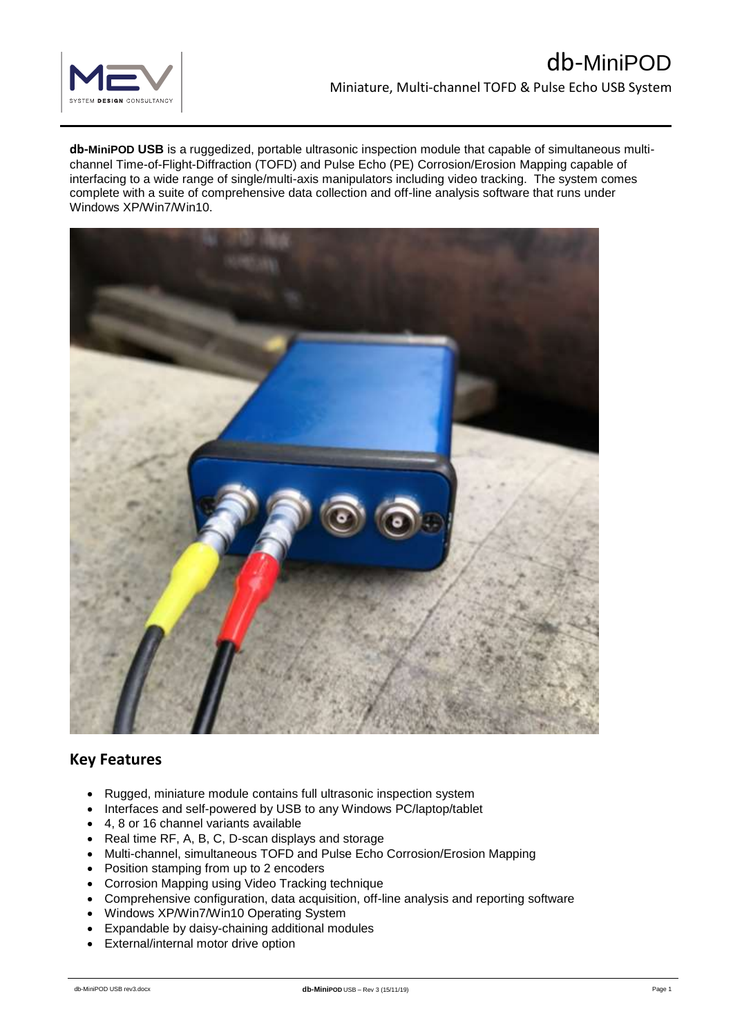

**db-MiniPOD USB** is a ruggedized, portable ultrasonic inspection module that capable of simultaneous multichannel Time-of-Flight-Diffraction (TOFD) and Pulse Echo (PE) Corrosion/Erosion Mapping capable of interfacing to a wide range of single/multi-axis manipulators including video tracking. The system comes complete with a suite of comprehensive data collection and off-line analysis software that runs under Windows XP/Win7/Win10.



## **Key Features**

- Rugged, miniature module contains full ultrasonic inspection system
- Interfaces and self-powered by USB to any Windows PC/laptop/tablet
- 4, 8 or 16 channel variants available
- Real time RF, A, B, C, D-scan displays and storage
- Multi-channel, simultaneous TOFD and Pulse Echo Corrosion/Erosion Mapping
- Position stamping from up to 2 encoders
- Corrosion Mapping using Video Tracking technique
- Comprehensive configuration, data acquisition, off-line analysis and reporting software
- Windows XP/Win7/Win10 Operating System
- Expandable by daisy-chaining additional modules
- External/internal motor drive option